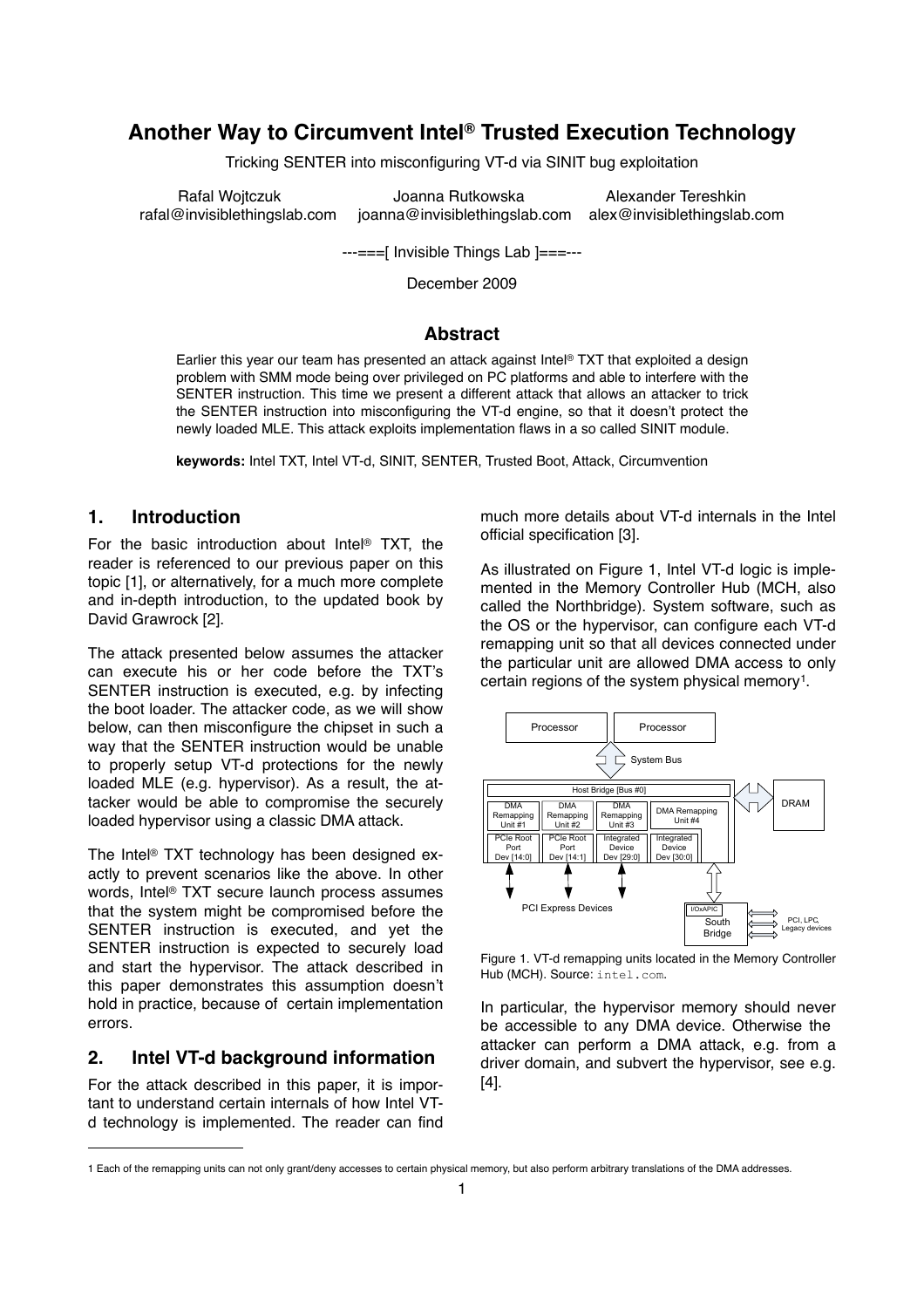# **Another Way to Circumvent Intel® Trusted Execution Technology**

Tricking SENTER into misconfiguring VT-d via SINIT bug exploitation

Rafal Wojtczuk **Musikal Musika Musika Musikal Musikal** Alexander Tereshkin rafal@invisiblethingslab.com joanna@invisiblethingslab.com alex@invisiblethingslab.com

---===[ Invisible Things Lab ]===---

December 2009

# **Abstract**

Earlier this year our team has presented an attack against Intel® TXT that exploited a design problem with SMM mode being over privileged on PC platforms and able to interfere with the SENTER instruction. This time we present a different attack that allows an attacker to trick the SENTER instruction into misconfiguring the VT-d engine, so that it doesn't protect the newly loaded MLE. This attack exploits implementation flaws in a so called SINIT module.

**keywords:** Intel TXT, Intel VT-d, SINIT, SENTER, Trusted Boot, Attack, Circumvention

# **1. Introduction**

For the basic introduction about Intel® TXT, the reader is referenced to our previous paper on this topic [1], or alternatively, for a much more complete and in-depth introduction, to the updated book by David Grawrock [2].

The attack presented below assumes the attacker can execute his or her code before the TXT's SENTER instruction is executed, e.g. by infecting the boot loader. The attacker code, as we will show below, can then misconfigure the chipset in such a way that the SENTER instruction would be unable to properly setup VT-d protections for the newly loaded MLE (e.g. hypervisor). As a result, the attacker would be able to compromise the securely loaded hypervisor using a classic DMA attack.

The Intel® TXT technology has been designed exactly to prevent scenarios like the above. In other words, Intel® TXT secure launch process assumes that the system might be compromised before the SENTER instruction is executed, and yet the SENTER instruction is expected to securely load and start the hypervisor. The attack described in this paper demonstrates this assumption doesn't hold in practice, because of certain implementation errors.

# **2. Intel VT-d background information**

For the attack described in this paper, it is important to understand certain internals of how Intel VTd technology is implemented. The reader can find much more details about VT-d internals in the Intel official specification [3].

As illustrated on Figure 1, Intel VT-d logic is implemented in the Memory Controller Hub (MCH, also called the Northbridge). System software, such as the OS or the hypervisor, can configure each VT-d remapping unit so that all devices connected under the particular unit are allowed DMA access to only certain regions of the system physical memory<sup>1</sup>.



Figure 1. VT-d remapping units located in the Memory Controller Hub (MCH). Source: intel.com.

In particular, the hypervisor memory should never be accessible to any DMA device. Otherwise the attacker can perform a DMA attack, e.g. from a driver domain, and subvert the hypervisor, see e.g.  $\overline{A}$ 1,  $\overline{A}$ U=T'?T'>T'>T'>T'DLT'DVE' [4].

<span id="page-0-0"></span><sup>1</sup> Each of the remapping units can not only grant/deny accesses to certain physical memory, but also perform arbitrary translations of the DMA addresses.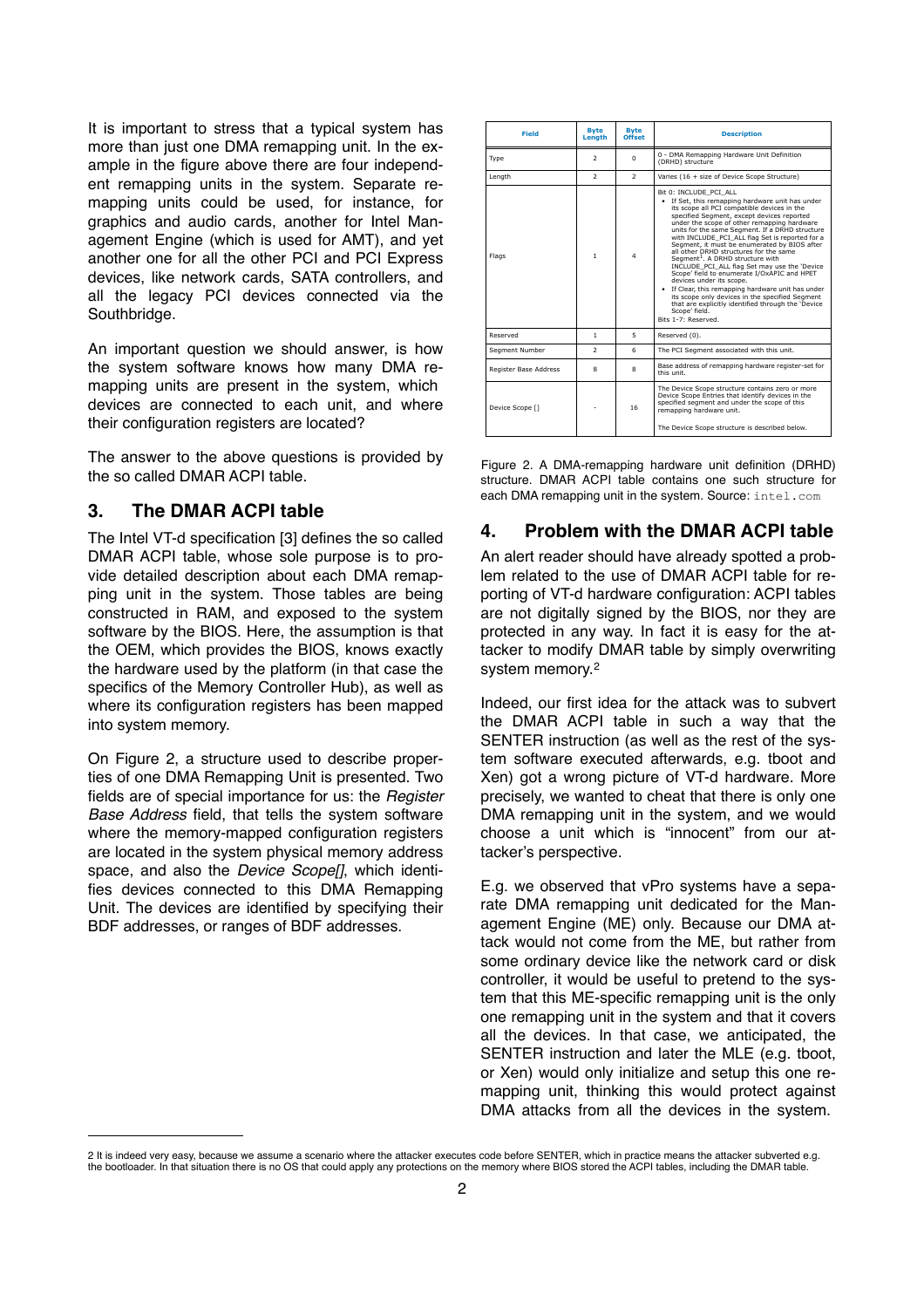It is important to stress that a typical system has more than just one DMA remapping unit. In the example in the figure above there are four independent remapping units in the system. Separate remapping units could be used, for instance, for graphics and audio cards, another for Intel Management Engine (which is used for AMT), and yet another one for all the other PCI and PCI Express devices, like network cards, SATA controllers, and all the legacy PCI devices connected via the Southbridge.

An important question we should answer, is how the system software knows how many DMA remapping units are present in the system, which devices are connected to each unit, and where their configuration registers are located?

The answer to the above questions is provided by the so called DMAR ACPI table.

# **3. The DMAR ACPI table**

The Intel VT-d specification [3] defines the so called DMAR ACPI table, whose sole purpose is to provide detailed description about each DMA remapping unit in the system. Those tables are being constructed in RAM, and exposed to the system software by the BIOS. Here, the assumption is that the OEM, which provides the BIOS, knows exactly the hardware used by the platform (in that case the specifics of the Memory Controller Hub), as well as where its configuration registers has been mapped into system memory.

On Figure 2, a structure used to describe properties of one DMA Remapping Unit is presented. Two fields are of special importance for us: the *Register Base Address* field, that tells the system software where the memory-mapped configuration registers are located in the system physical memory address space, and also the *Device Scope[]*, which identifies devices connected to this DMA Remapping Unit. The devices are identified by specifying their BDF addresses, or ranges of BDF addresses.

| <b>Field</b>          | <b>Byte</b><br>Lenath | <b>Byte</b><br>Offset   | <b>Description</b>                                                                                                                                                                                                                                                                                                                                                                                                                                                                                                                                                                                                                                                                                                                                                                                       |
|-----------------------|-----------------------|-------------------------|----------------------------------------------------------------------------------------------------------------------------------------------------------------------------------------------------------------------------------------------------------------------------------------------------------------------------------------------------------------------------------------------------------------------------------------------------------------------------------------------------------------------------------------------------------------------------------------------------------------------------------------------------------------------------------------------------------------------------------------------------------------------------------------------------------|
| Type                  | $\overline{z}$        | $\Omega$                | 0 - DMA Remapping Hardware Unit Definition<br>(DRHD) structure                                                                                                                                                                                                                                                                                                                                                                                                                                                                                                                                                                                                                                                                                                                                           |
| Lenath                | $\overline{z}$        | $\overline{2}$          | Varies (16 + size of Device Scope Structure)                                                                                                                                                                                                                                                                                                                                                                                                                                                                                                                                                                                                                                                                                                                                                             |
| Flags                 | 1                     | $\overline{\mathbf{4}}$ | Bit 0: INCLUDE PCI ALL<br>• If Set, this remapping hardware unit has under<br>its scope all PCI compatible devices in the<br>specified Segment, except devices reported<br>under the scope of other remapping hardware<br>units for the same Segment. If a DRHD structure<br>with INCLUDE PCI ALL flag Set is reported for a<br>Segment, it must be enumerated by BIOS after<br>all other DRHD structures for the same<br>Seament <sup>1</sup> . A DRHD structure with<br>INCLUDE PCI ALL flag Set may use the 'Device<br>Scope' field to enumerate I/OxAPIC and HPET<br>devices under its scope.<br>• If Clear, this remapping hardware unit has under<br>its scope only devices in the specified Seament<br>that are explicitly identified through the 'Device<br>Scope' field.<br>Bits 1-7: Reserved. |
| Reserved              | 1                     | 5                       | Reserved (0).                                                                                                                                                                                                                                                                                                                                                                                                                                                                                                                                                                                                                                                                                                                                                                                            |
| Segment Number        | $\overline{z}$        | 6                       | The PCI Segment associated with this unit.                                                                                                                                                                                                                                                                                                                                                                                                                                                                                                                                                                                                                                                                                                                                                               |
| Register Base Address | 8                     | 8                       | Base address of remapping hardware register-set for<br>this unit.                                                                                                                                                                                                                                                                                                                                                                                                                                                                                                                                                                                                                                                                                                                                        |
| Device Scope [1]      |                       | 16                      | The Device Scope structure contains zero or more<br>Device Scope Entries that identify devices in the<br>specified seqment and under the scope of this<br>remapping hardware unit.<br>The Device Scope structure is described below.                                                                                                                                                                                                                                                                                                                                                                                                                                                                                                                                                                     |

Figure 2. A DMA-remapping hardware unit definition (DRHD) structure. DMAR ACPI table contains one such structure for each DMA remapping unit in the system. Source: intel.com

### **4. Problem with the DMAR ACPI table**

An alert reader should have already spotted a problem related to the use of DMAR ACPI table for reporting of VT-d hardware configuration: ACPI tables are not digitally signed by the BIOS, nor they are protected in any way. In fact it is easy for the attacker to modify DMAR table by simply overwriting system memory.[2](#page-1-0)

Indeed, our first idea for the attack was to subvert the DMAR ACPI table in such a way that the SENTER instruction (as well as the rest of the system software executed afterwards, e.g. tboot and Xen) got a wrong picture of VT-d hardware. More precisely, we wanted to cheat that there is only one DMA remapping unit in the system, and we would choose a unit which is "innocent" from our attacker's perspective.

E.g. we observed that vPro systems have a separate DMA remapping unit dedicated for the Management Engine (ME) only. Because our DMA attack would not come from the ME, but rather from some ordinary device like the network card or disk controller, it would be useful to pretend to the system that this ME-specific remapping unit is the only one remapping unit in the system and that it covers all the devices. In that case, we anticipated, the SENTER instruction and later the MLE (e.g. tboot, or Xen) would only initialize and setup this one remapping unit, thinking this would protect against DMA attacks from all the devices in the system.

<span id="page-1-0"></span><sup>2</sup> It is indeed very easy, because we assume a scenario where the attacker executes code before SENTER, which in practice means the attacker subverted e.g. the bootloader. In that situation there is no OS that could apply any protections on the memory where BIOS stored the ACPI tables, including the DMAR table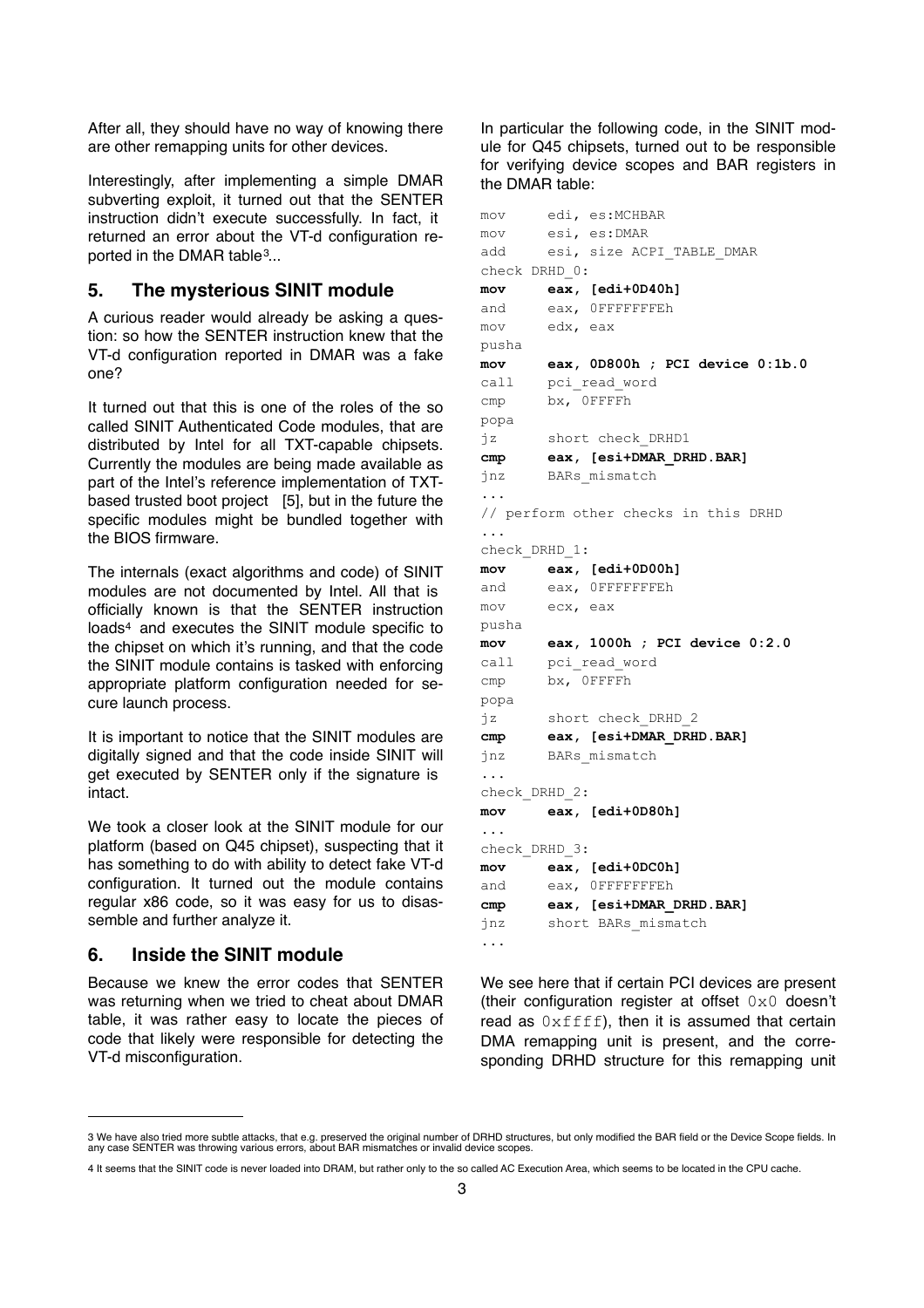After all, they should have no way of knowing there are other remapping units for other devices.

Interestingly, after implementing a simple DMAR subverting exploit, it turned out that the SENTER instruction didn't execute successfully. In fact, it returned an error about the VT-d configuration reported in the DMAR table<sup>3</sup>...

#### **5. The mysterious SINIT module**

A curious reader would already be asking a question: so how the SENTER instruction knew that the VT-d configuration reported in DMAR was a fake one?

It turned out that this is one of the roles of the so called SINIT Authenticated Code modules, that are distributed by Intel for all TXT-capable chipsets. Currently the modules are being made available as part of the Intel's reference implementation of TXTbased trusted boot project [5], but in the future the specific modules might be bundled together with the BIOS firmware.

The internals (exact algorithms and code) of SINIT modules are not documented by Intel. All that is officially known is that the SENTER instruction loads[4](#page-2-1) and executes the SINIT module specific to the chipset on which it's running, and that the code the SINIT module contains is tasked with enforcing appropriate platform configuration needed for secure launch process.

It is important to notice that the SINIT modules are digitally signed and that the code inside SINIT will get executed by SENTER only if the signature is intact.

We took a closer look at the SINIT module for our platform (based on Q45 chipset), suspecting that it has something to do with ability to detect fake VT-d configuration. It turned out the module contains regular x86 code, so it was easy for us to disassemble and further analyze it.

### **6. Inside the SINIT module**

Because we knew the error codes that SENTER was returning when we tried to cheat about DMAR table, it was rather easy to locate the pieces of code that likely were responsible for detecting the VT-d misconfiguration.

In particular the following code, in the SINIT module for Q45 chipsets, turned out to be responsible for verifying device scopes and BAR registers in the DMAR table:

```
mov edi, es:MCHBAR
mov esi, es:DMAR
add esi, size ACPI TABLE DMAR
check DRHD_0:
mov eax, [edi+0D40h]
and eax, 0FFFFFFFEh
mov edx, eax
pusha
mov eax, 0D800h ; PCI device 0:1b.0
call pci_read_word
cmp bx, 0FFFFh
popa
jz short check_DRHD1
cmp eax, [esi+DMAR_DRHD.BAR]
jnz BARs_mismatch
...
// perform other checks in this DRHD
...
check_DRHD_1:
mov eax, [edi+0D00h]
and eax, 0FFFFFFFEh
mov ecx, eax
pusha
mov eax, 1000h ; PCI device 0:2.0
call pci_read_word
cmp bx, 0FFFFh
popa
jz short check_DRHD_2
cmp eax, [esi+DMAR_DRHD.BAR]
jnz BARs_mismatch
...
check_DRHD_2:
mov eax, [edi+0D80h]
...
check_DRHD_3:
mov eax, [edi+0DC0h]
and eax, 0FFFFFFFEh
cmp eax, [esi+DMAR_DRHD.BAR]
jnz short BARs_mismatch
...
```
We see here that if certain PCI devices are present (their configuration register at offset  $0\times0$  doesn't read as  $0xffff$ , then it is assumed that certain DMA remapping unit is present, and the corresponding DRHD structure for this remapping unit

<span id="page-2-0"></span><sup>3</sup> We have also tried more subtle attacks, that e.g. preserved the original number of DRHD structures, but only modified the BAR field or the Device Scope fields. In<br>any case SENTER was throwing various errors, about BAR mi

<span id="page-2-1"></span><sup>4</sup> It seems that the SINIT code is never loaded into DRAM, but rather only to the so called AC Execution Area, which seems to be located in the CPU cache.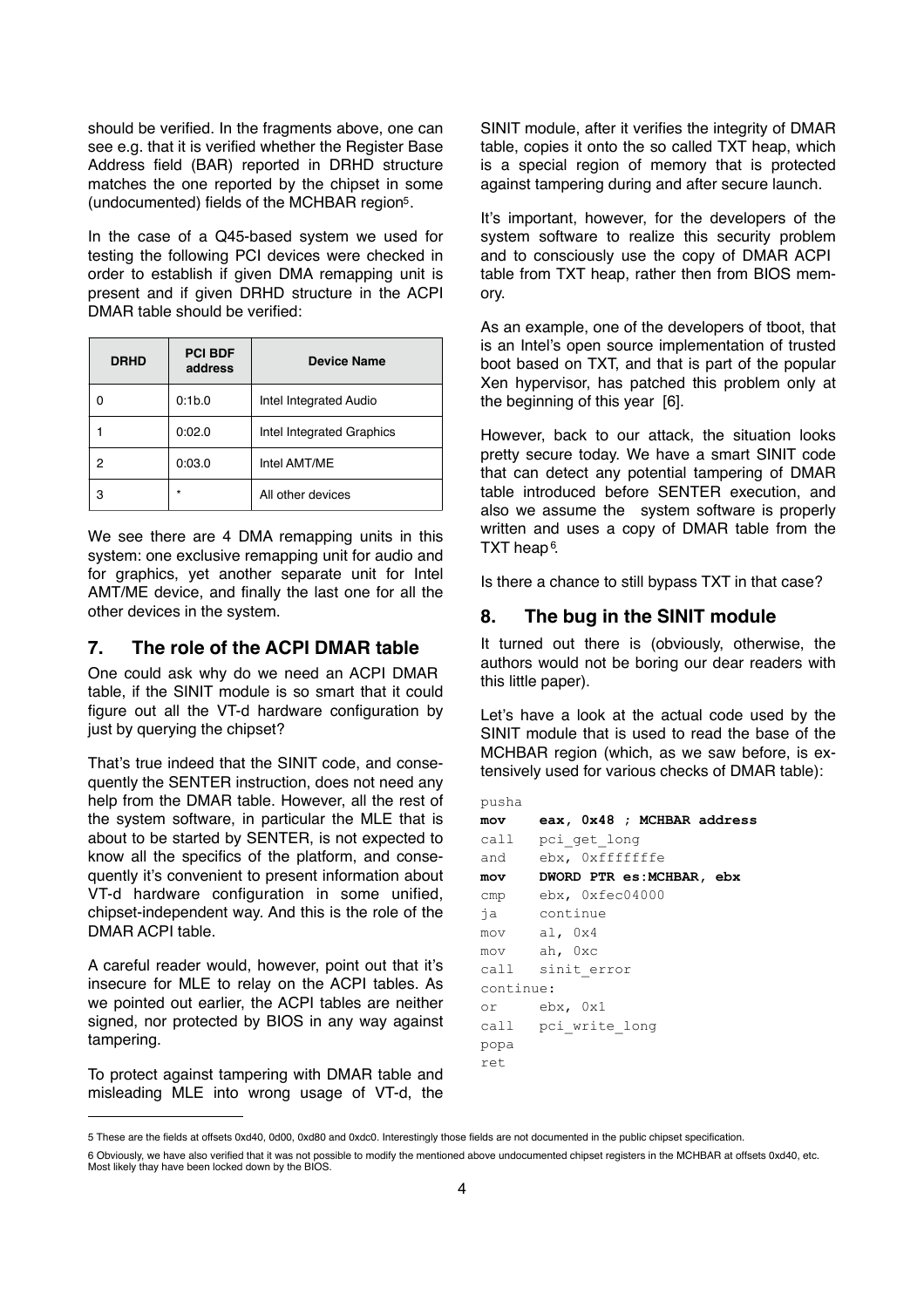should be verified. In the fragments above, one can see e.g. that it is verified whether the Register Base Address field (BAR) reported in DRHD structure matches the one reported by the chipset in some (undocumented) fields of the MCHBAR regio[n5.](#page-3-0)

In the case of a Q45-based system we used for testing the following PCI devices were checked in order to establish if given DMA remapping unit is present and if given DRHD structure in the ACPI DMAR table should be verified:

| <b>DRHD</b> | <b>PCI BDF</b><br>address | <b>Device Name</b>            |
|-------------|---------------------------|-------------------------------|
|             | 0:1b.0                    | <b>Intel Integrated Audio</b> |
|             | 0:02.0                    | Intel Integrated Graphics     |
| 2           | 0:03.0                    | Intel AMT/ME                  |
| з           | $\star$                   | All other devices             |

We see there are 4 DMA remapping units in this system: one exclusive remapping unit for audio and for graphics, yet another separate unit for Intel AMT/ME device, and finally the last one for all the other devices in the system.

# **7. The role of the ACPI DMAR table**

One could ask why do we need an ACPI DMAR table, if the SINIT module is so smart that it could figure out all the VT-d hardware configuration by just by querying the chipset?

That's true indeed that the SINIT code, and consequently the SENTER instruction, does not need any help from the DMAR table. However, all the rest of the system software, in particular the MLE that is about to be started by SENTER, is not expected to know all the specifics of the platform, and consequently it's convenient to present information about VT-d hardware configuration in some unified, chipset-independent way. And this is the role of the DMAR ACPI table.

A careful reader would, however, point out that it's insecure for MLE to relay on the ACPI tables. As we pointed out earlier, the ACPI tables are neither signed, nor protected by BIOS in any way against tampering.

To protect against tampering with DMAR table and misleading MLE into wrong usage of VT-d, the SINIT module, after it verifies the integrity of DMAR table, copies it onto the so called TXT heap, which is a special region of memory that is protected against tampering during and after secure launch.

It's important, however, for the developers of the system software to realize this security problem and to consciously use the copy of DMAR ACPI table from TXT heap, rather then from BIOS memory.

As an example, one of the developers of tboot, that is an Intel's open source implementation of trusted boot based on TXT, and that is part of the popular Xen hypervisor, has patched this problem only at the beginning of this year [6].

However, back to our attack, the situation looks pretty secure today. We have a smart SINIT code that can detect any potential tampering of DMAR table introduced before SENTER execution, and also we assume the system software is properly written and uses a copy of DMAR table from the TXT heap[6.](#page-3-1)

Is there a chance to still bypass TXT in that case?

### **8. The bug in the SINIT module**

It turned out there is (obviously, otherwise, the authors would not be boring our dear readers with this little paper).

Let's have a look at the actual code used by the SINIT module that is used to read the base of the MCHBAR region (which, as we saw before, is extensively used for various checks of DMAR table):

| pusna     |                              |
|-----------|------------------------------|
| mov       | eax, 0x48 ; MCHBAR address   |
|           | call pci get long            |
|           | and ebx, 0xfffffffe          |
|           | mov DWORD PTR es:MCHBAR, ebx |
|           | cmp ebx, 0xfec04000          |
|           | ja continue                  |
|           | mov al, 0x4                  |
|           | mov ah, Oxc                  |
|           | call sinit error             |
| continue: |                              |
|           | or ebx,0x1                   |
|           | call pci write long          |
| popa      |                              |
| ret       |                              |

<span id="page-3-0"></span><sup>5</sup> These are the fields at offsets 0xd40, 0d00, 0xd80 and 0xdc0. Interestingly those fields are not documented in the public chipset specification.

pusha

<span id="page-3-1"></span><sup>6</sup> Obviously, we have also verified that it was not possible to modify the mentioned above undocumented chipset registers in the MCHBAR at offsets 0xd40, etc. Most likely thay have been locked down by the BIOS.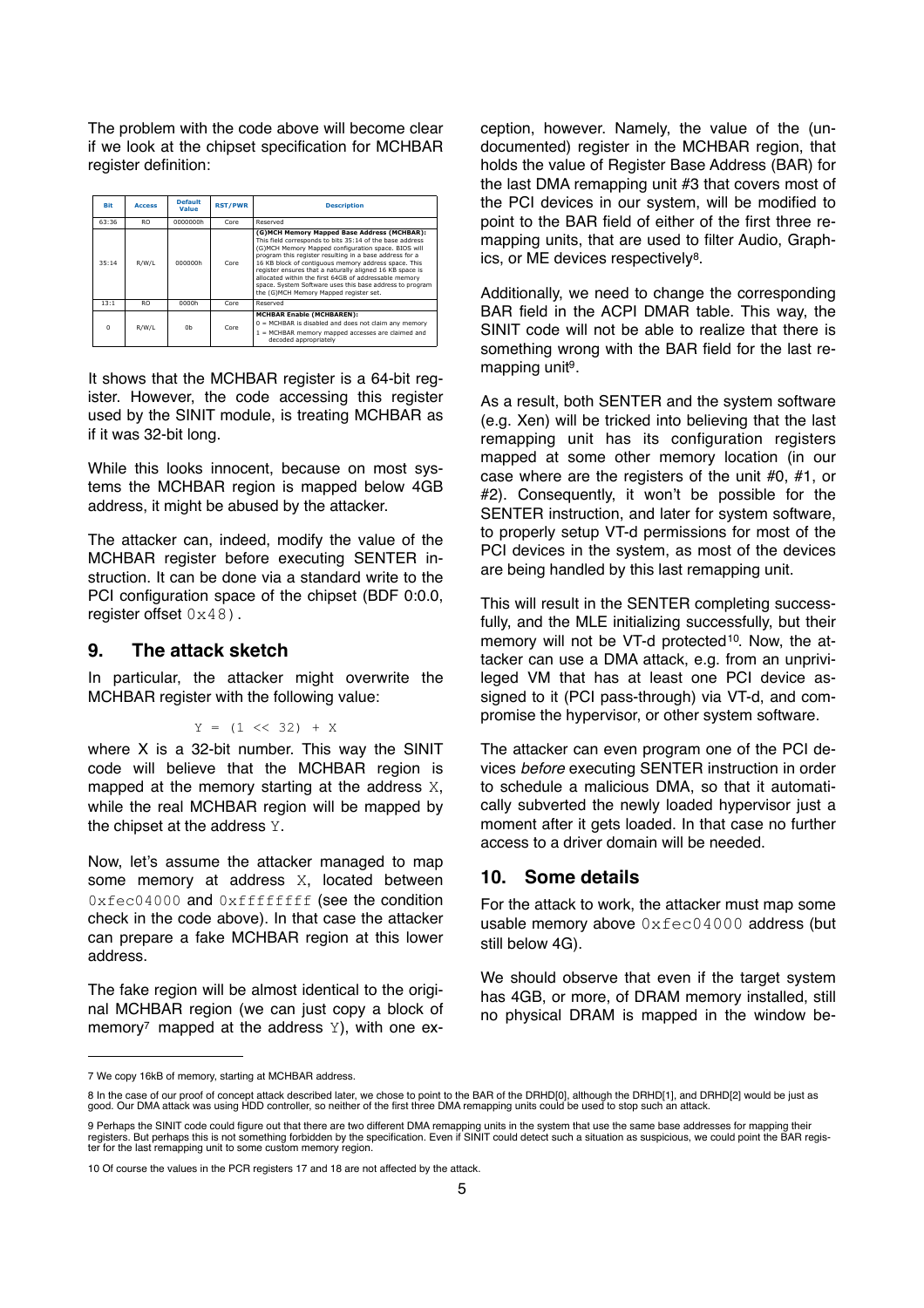The problem with the code above will become clear if we look at the chipset specification for MCHBAR register definition: **Enabled by writing a 1 to MCHBAREN ENGLIS** 

| Bit      | <b>Access</b>  | <b>Default</b><br>Value | <b>RST/PWR</b> | <b>Description</b>                                                                                                                                                                                                                                                                                                                                                                                                                                                                                           |
|----------|----------------|-------------------------|----------------|--------------------------------------------------------------------------------------------------------------------------------------------------------------------------------------------------------------------------------------------------------------------------------------------------------------------------------------------------------------------------------------------------------------------------------------------------------------------------------------------------------------|
| 63:36    | <b>RO</b>      | 0000000h                | Core           | Reserved                                                                                                                                                                                                                                                                                                                                                                                                                                                                                                     |
| 35:14    | R/W/L          | 000000h                 | Core           | (G)MCH Memory Mapped Base Address (MCHBAR):<br>This field corresponds to bits 35:14 of the base address<br>(G)MCH Memory Mapped configuration space, BIOS will<br>program this register resulting in a base address for a<br>16 KB block of contiquous memory address space. This<br>register ensures that a naturally aligned 16 KB space is<br>allocated within the first 64GB of addressable memory<br>space. System Software uses this base address to program<br>the (G)MCH Memory Mapped register set. |
| 13:1     | R <sub>O</sub> | 0000h                   | Core           | Reserved                                                                                                                                                                                                                                                                                                                                                                                                                                                                                                     |
| $\Omega$ | R/W/L          | 0h                      | Core           | <b>MCHBAR Enable (MCHBAREN):</b><br>$0 = MCHBAR$ is disabled and does not claim any memory<br>1 = MCHBAR memory mapped accesses are claimed and<br>decoded appropriately                                                                                                                                                                                                                                                                                                                                     |

It shows that the MCHBAR register is a 64-bit register. However, the code accessing this register used by the SINIT module, is treating MCHBAR as if it was 32-bit long.

While this looks innocent, because on most systems the MCHBAR region is mapped below 4GB address, it might be abused by the attacker.

The attacker can, indeed, modify the value of the MCHBAR register before executing SENTER instruction. It can be done via a standard write to the PCI configuration space of the chipset (BDF 0:0.0, register offset  $0 \times 48$ ).

#### **9. The attack sketch**

In particular, the attacker might overwrite the MCHBAR register with the following value:

#### $Y = (1 \leq 32) + X$

where X is a 32-bit number. This way the SINIT code will believe that the MCHBAR region is mapped at the memory starting at the address X, while the real MCHBAR region will be mapped by the chipset at the address Y.

Now, let's assume the attacker managed to map some memory at address X, located between 0xfec04000 and 0xffffffff (see the condition check in the code above). In that case the attacker can prepare a fake MCHBAR region at this lower address.

The fake region will be almost identical to the original MCHBAR region (we can just copy a block of memory<sup>7</sup> mapped at the address  $Y$ ), with one exception, however. Namely, the value of the (undocumented) register in the MCHBAR region, that holds the value of Register Base Address (BAR) for the last DMA remapping unit #3 that covers most of the PCI devices in our system, will be modified to point to the BAR field of either of the first three remapping units, that are used to filter Audio, Graphics, or ME devices respectively[8.](#page-4-1)

Additionally, we need to change the corresponding BAR field in the ACPI DMAR table. This way, the SINIT code will not be able to realize that there is something wrong with the BAR field for the last remapping unit<sup>9</sup>.

As a result, both SENTER and the system software (e.g. Xen) will be tricked into believing that the last remapping unit has its configuration registers mapped at some other memory location (in our case where are the registers of the unit #0, #1, or #2). Consequently, it won't be possible for the SENTER instruction, and later for system software, to properly setup VT-d permissions for most of the PCI devices in the system, as most of the devices are being handled by this last remapping unit.

This will result in the SENTER completing successfully, and the MLE initializing successfully, but their memory will not be VT-d protected<sup>[10](#page-4-3)</sup>. Now, the attacker can use a DMA attack, e.g. from an unprivileged VM that has at least one PCI device assigned to it (PCI pass-through) via VT-d, and compromise the hypervisor, or other system software.

The attacker can even program one of the PCI devices *before* executing SENTER instruction in order to schedule a malicious DMA, so that it automatically subverted the newly loaded hypervisor just a moment after it gets loaded. In that case no further access to a driver domain will be needed.

#### **10. Some details**

For the attack to work, the attacker must map some usable memory above  $0xfec04000$  address (but still below 4G).

We should observe that even if the target system has 4GB, or more, of DRAM memory installed, still no physical DRAM is mapped in the window be-

<span id="page-4-0"></span><sup>7</sup> We copy 16kB of memory, starting at MCHBAR address.

<span id="page-4-1"></span><sup>8</sup> In the case of our proof of concept attack described later, we chose to point to the BAR of the DRHD[0], although the DRHD[1], and DRHD[2] would be just as good. Our DMA attack was using HDD controller, so neither of the first three DMA remapping units could be used to stop such an attack

<span id="page-4-2"></span><sup>9</sup> Perhaps the SINIT code could figure out that there are two different DMA remapping units in the system that use the same base addresses for mapping their<br>registers. But perhaps this is not something forbidden by the spec

<span id="page-4-3"></span><sup>10</sup> Of course the values in the PCR registers 17 and 18 are not affected by the attack.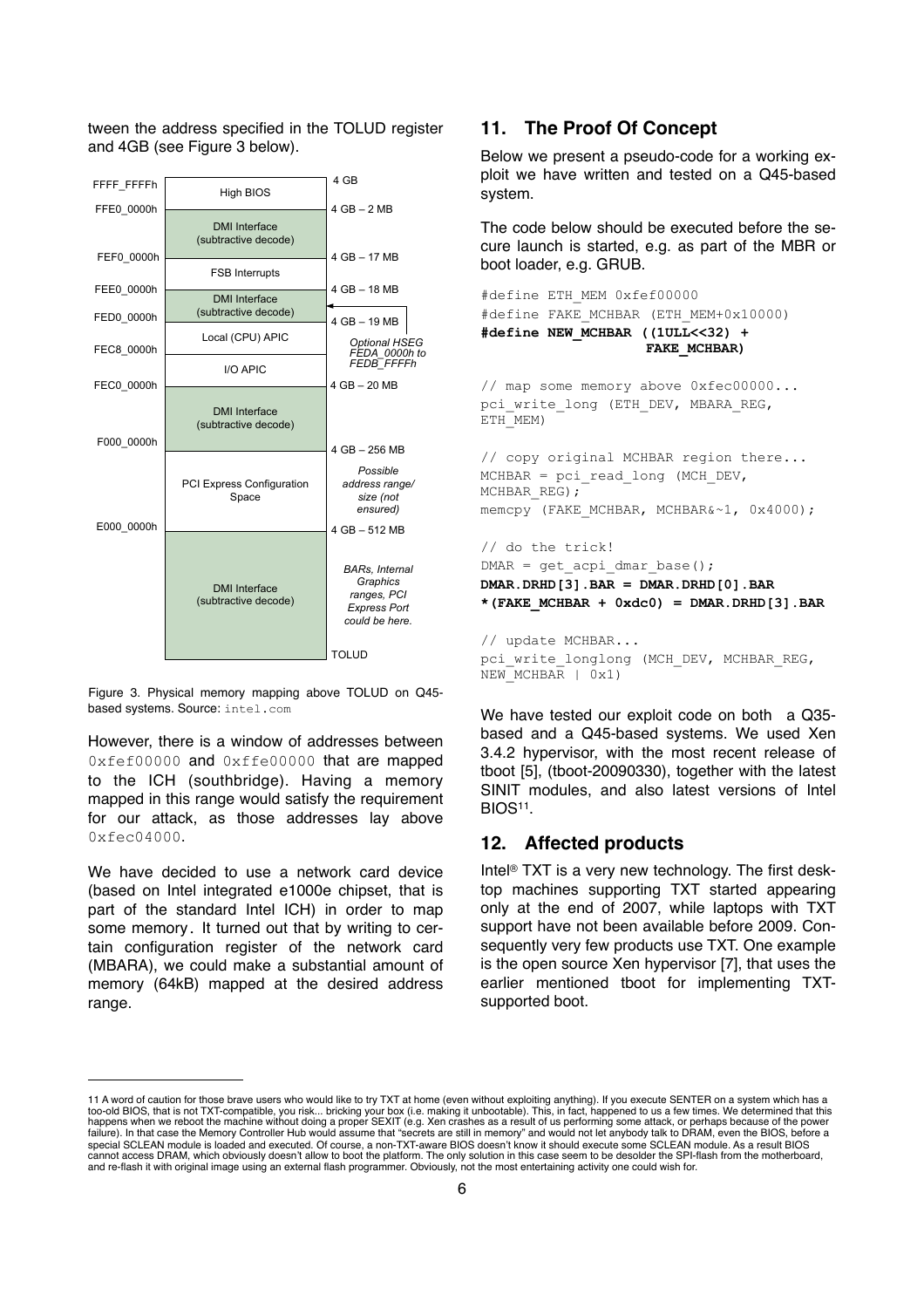tween the address specified in the TOLUD register and 4GB (see Figure 3 below).



Figure 3. Physical memory mapping above TOLUD on Q45 based systems. Source: intel.com

However, there is a window of addresses between 0xfef00000 and 0xffe00000 that are mapped to the ICH (southbridge). Having a memory mapped in this range would satisfy the requirement for our attack, as those addresses lay above 0xfec04000.

> We have decided to use a network card device (based on Intel integrated e1000e chipset, that is part of the standard Intel ICH) in order to map some memory. It turned out that by writing to certain configuration register of the network card (MBARA), we could make a substantial amount of memory (64kB) mapped at the desired address range.

# **11. The Proof Of Concept**

Below we present a pseudo-code for a working exploit we have written and tested on a Q45-based system.

The code below should be executed before the secure launch is started, e.g. as part of the MBR or boot loader, e.g. GRUB.

```
#define ETH_MEM 0xfef00000
#define FAKE_MCHBAR (ETH_MEM+0x10000)
#define NEW_MCHBAR ((1ULL<<32) + 
                     FAKE_MCHBAR)
```
// map some memory above 0xfec00000... pci write long (ETH DEV, MBARA REG, ETH<sup>-MEM</sup>)

// copy original MCHBAR region there... MCHBAR = pci\_read\_long (MCH\_DEV, MCHBAR\_REG); memcpy (FAKE MCHBAR, MCHBAR&~1, 0x4000);

// do the trick!  $DMAR = qet acpi dmar base()$ ; **DMAR.DRHD[3].BAR = DMAR.DRHD[0].BAR**  $*($ FAKE MCHBAR + 0xdc0) = DMAR.DRHD $[3]$ .BAR

// update MCHBAR... pci write longlong (MCH DEV, MCHBAR REG, NEW\_MCHBAR | 0x1)

We have tested our exploit code on both a Q35 based and a Q45-based systems. We used Xen 3.4.2 hypervisor, with the most recent release of tboot [5], (tboot-20090330), together with the latest SINIT modules, and also latest versions of Intel BIOS[11.](#page-5-0)

### **12. Affected products**

Intel® TXT is a very new technology. The first desktop machines supporting TXT started appearing only at the end of 2007, while laptops with TXT support have not been available before 2009. Consequently very few products use TXT. One example is the open source Xen hypervisor [7], that uses the earlier mentioned tboot for implementing TXTsupported boot.

<span id="page-5-0"></span><sup>11</sup> A word of caution for those brave users who would like to try TXT at home (even without exploiting anything). If you execute SENTER on a system which has a<br>too-old BIOS, that is not TXT-compatible, you risk... bricking failure). In that case the Memory Controller Hub would assume that "secrets are still in memory" and would not let anybody talk to DRAM, even the BIOS, be special SCLEAN module is loaded and executed. Of course, a non-TXT-aware BIOS doesn't know it should execute some SCLEAN module. As a result BIOS<br>cannot access DRAM, which obviously doesn't allow to boot the platform. The and re-flash it with original image using an external flash programmer. Obviously, not the most entertaining activity one could wish for.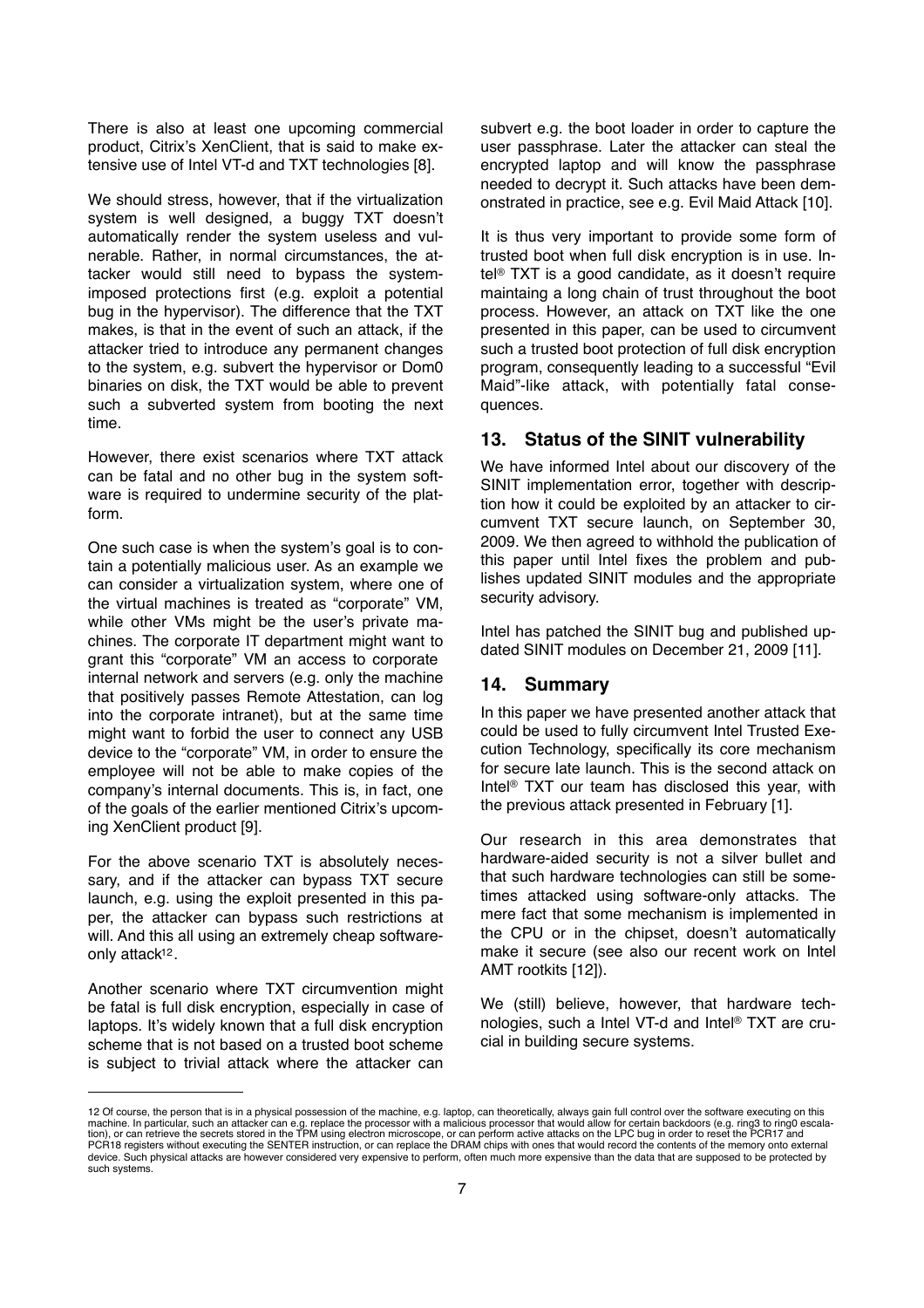There is also at least one upcoming commercial product, Citrix's XenClient, that is said to make extensive use of Intel VT-d and TXT technologies [8].

We should stress, however, that if the virtualization system is well designed, a buggy TXT doesn't automatically render the system useless and vulnerable. Rather, in normal circumstances, the attacker would still need to bypass the systemimposed protections first (e.g. exploit a potential bug in the hypervisor). The difference that the TXT makes, is that in the event of such an attack, if the attacker tried to introduce any permanent changes to the system, e.g. subvert the hypervisor or Dom0 binaries on disk, the TXT would be able to prevent such a subverted system from booting the next time.

However, there exist scenarios where TXT attack can be fatal and no other bug in the system software is required to undermine security of the platform.

One such case is when the system's goal is to contain a potentially malicious user. As an example we can consider a virtualization system, where one of the virtual machines is treated as "corporate" VM, while other VMs might be the user's private machines. The corporate IT department might want to grant this "corporate" VM an access to corporate internal network and servers (e.g. only the machine that positively passes Remote Attestation, can log into the corporate intranet), but at the same time might want to forbid the user to connect any USB device to the "corporate" VM, in order to ensure the employee will not be able to make copies of the company's internal documents. This is, in fact, one of the goals of the earlier mentioned Citrix's upcoming XenClient product [9].

For the above scenario TXT is absolutely necessary, and if the attacker can bypass TXT secure launch, e.g. using the exploit presented in this paper, the attacker can bypass such restrictions at will. And this all using an extremely cheap softwareonly attac[k12.](#page-6-0)

Another scenario where TXT circumvention might be fatal is full disk encryption, especially in case of laptops. It's widely known that a full disk encryption scheme that is not based on a trusted boot scheme is subject to trivial attack where the attacker can

subvert e.g. the boot loader in order to capture the user passphrase. Later the attacker can steal the encrypted laptop and will know the passphrase needed to decrypt it. Such attacks have been demonstrated in practice, see e.g. Evil Maid Attack [10].

It is thus very important to provide some form of trusted boot when full disk encryption is in use. Intel® TXT is a good candidate, as it doesn't require maintaing a long chain of trust throughout the boot process. However, an attack on TXT like the one presented in this paper, can be used to circumvent such a trusted boot protection of full disk encryption program, consequently leading to a successful "Evil Maid"-like attack, with potentially fatal consequences.

### **13. Status of the SINIT vulnerability**

We have informed Intel about our discovery of the SINIT implementation error, together with description how it could be exploited by an attacker to circumvent TXT secure launch, on September 30, 2009. We then agreed to withhold the publication of this paper until Intel fixes the problem and publishes updated SINIT modules and the appropriate security advisory.

Intel has patched the SINIT bug and published updated SINIT modules on December 21, 2009 [11].

#### **14. Summary**

In this paper we have presented another attack that could be used to fully circumvent Intel Trusted Execution Technology, specifically its core mechanism for secure late launch. This is the second attack on Intel® TXT our team has disclosed this year, with the previous attack presented in February [1].

Our research in this area demonstrates that hardware-aided security is not a silver bullet and that such hardware technologies can still be sometimes attacked using software-only attacks. The mere fact that some mechanism is implemented in the CPU or in the chipset, doesn't automatically make it secure (see also our recent work on Intel AMT rootkits [12]).

We (still) believe, however, that hardware technologies, such a Intel VT-d and Intel® TXT are crucial in building secure systems.

<span id="page-6-0"></span><sup>12</sup> Of course, the person that is in a physical possession of the machine, e.g. laptop, can theoretically, always gain full control over the software executing on this machine. In particular, such an attacker can e.g. replace the processor with a malicious processor that would allow for certain backdoors (e.g. ring3 to ring0 escala-<br>tion), or can retrieve the secrets stored in the TPM us device. Such physical attacks are however considered very expensive to perform, often much more expensive than the data that are supposed to be protected by such systems.